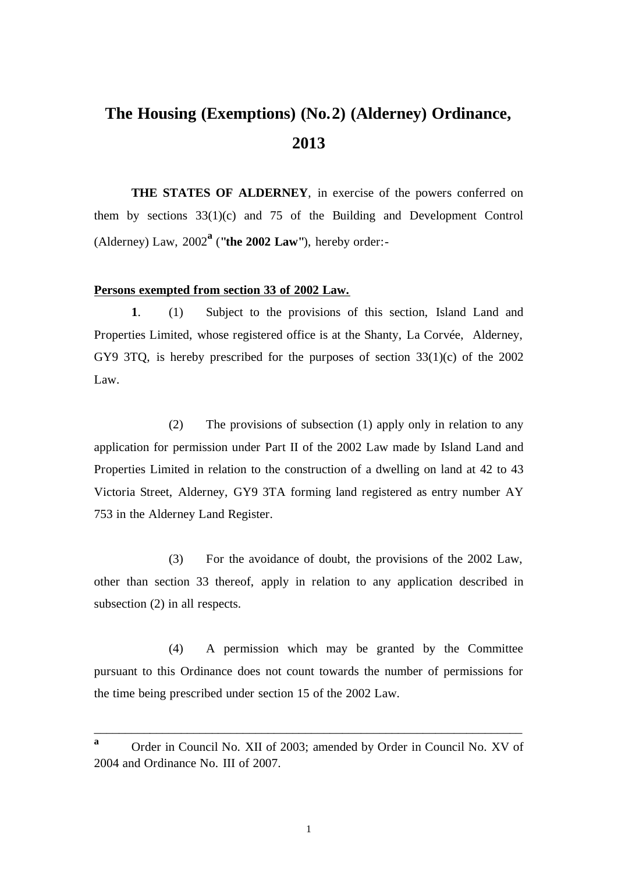## **The Housing (Exemptions) (No.2) (Alderney) Ordinance, 2013**

**THE STATES OF ALDERNEY**, in exercise of the powers conferred on them by sections 33(1)(c) and 75 of the Building and Development Control (Alderney) Law, 2002**<sup>a</sup>** (**"the 2002 Law"**), hereby order:-

## **Persons exempted from section 33 of 2002 Law.**

**1**. (1) Subject to the provisions of this section, Island Land and Properties Limited, whose registered office is at the Shanty, La Corvée, Alderney, GY9 3TQ, is hereby prescribed for the purposes of section 33(1)(c) of the 2002 Law.

(2) The provisions of subsection (1) apply only in relation to any application for permission under Part II of the 2002 Law made by Island Land and Properties Limited in relation to the construction of a dwelling on land at 42 to 43 Victoria Street, Alderney, GY9 3TA forming land registered as entry number AY 753 in the Alderney Land Register.

(3) For the avoidance of doubt, the provisions of the 2002 Law, other than section 33 thereof, apply in relation to any application described in subsection (2) in all respects.

(4) A permission which may be granted by the Committee pursuant to this Ordinance does not count towards the number of permissions for the time being prescribed under section 15 of the 2002 Law.

\_\_\_\_\_\_\_\_\_\_\_\_\_\_\_\_\_\_\_\_\_\_\_\_\_\_\_\_\_\_\_\_\_\_\_\_\_\_\_\_\_\_\_\_\_\_\_\_\_\_\_\_\_\_\_\_\_\_\_\_\_\_\_\_\_\_\_\_\_

**<sup>a</sup>** Order in Council No. XII of 2003; amended by Order in Council No. XV of 2004 and Ordinance No. III of 2007.